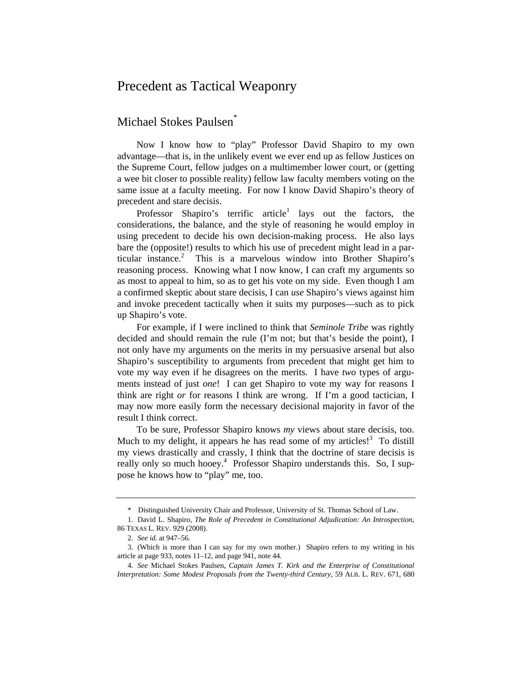## Precedent as Tactical Weaponry

## Michael Stokes Paulsen\*

Now I know how to "play" Professor David Shapiro to my own advantage—that is, in the unlikely event we ever end up as fellow Justices on the Supreme Court, fellow judges on a multimember lower court, or (getting a wee bit closer to possible reality) fellow law faculty members voting on the same issue at a faculty meeting. For now I know David Shapiro's theory of precedent and stare decisis.

Professor Shapiro's terrific article<sup>1</sup> lays out the factors, the considerations, the balance, and the style of reasoning he would employ in using precedent to decide his own decision-making process. He also lays bare the (opposite!) results to which his use of precedent might lead in a particular instance.<sup>2</sup> This is a marvelous window into Brother Shapiro's reasoning process. Knowing what I now know, I can craft my arguments so as most to appeal to him, so as to get his vote on my side. Even though I am a confirmed skeptic about stare decisis, I can *use* Shapiro's views against him and invoke precedent tactically when it suits my purposes—such as to pick up Shapiro's vote.

For example, if I were inclined to think that *Seminole Tribe* was rightly decided and should remain the rule (I'm not; but that's beside the point), I not only have my arguments on the merits in my persuasive arsenal but also Shapiro's susceptibility to arguments from precedent that might get him to vote my way even if he disagrees on the merits. I have *two* types of arguments instead of just *one*! I can get Shapiro to vote my way for reasons I think are right *or* for reasons I think are wrong. If I'm a good tactician, I may now more easily form the necessary decisional majority in favor of the result I think correct.

To be sure, Professor Shapiro knows *my* views about stare decisis, too. Much to my delight, it appears he has read some of my articles!<sup>3</sup> To distill my views drastically and crassly, I think that the doctrine of stare decisis is really only so much hooey.<sup>4</sup> Professor Shapiro understands this. So, I suppose he knows how to "play" me, too.

 <sup>\*</sup> Distinguished University Chair and Professor, University of St. Thomas School of Law.

<sup>1.</sup> David L. Shapiro, *The Role of Precedent in Constitutional Adjudication: An Introspection*, 86 TEXAS L. REV. 929 (2008).

<sup>2.</sup> *See id.* at 947–56.

<sup>3. (</sup>Which is more than I can say for my own mother.) Shapiro refers to my writing in his article at page 933, notes 11–12, and page 941, note 44.

<sup>4.</sup> *See* Michael Stokes Paulsen, *Captain James T. Kirk and the Enterprise of Constitutional Interpretation: Some Modest Proposals from the Twenty-third Century*, 59 ALB. L. REV. 671, 680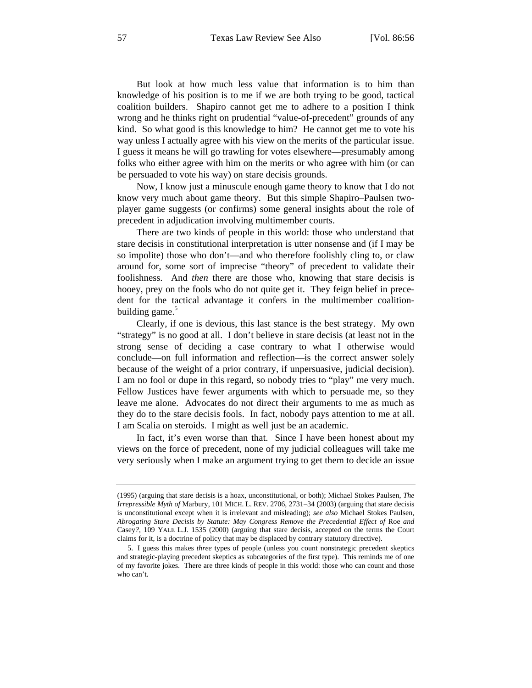But look at how much less value that information is to him than knowledge of his position is to me if we are both trying to be good, tactical coalition builders. Shapiro cannot get me to adhere to a position I think wrong and he thinks right on prudential "value-of-precedent" grounds of any kind. So what good is this knowledge to him? He cannot get me to vote his way unless I actually agree with his view on the merits of the particular issue. I guess it means he will go trawling for votes elsewhere—presumably among folks who either agree with him on the merits or who agree with him (or can be persuaded to vote his way) on stare decisis grounds.

Now, I know just a minuscule enough game theory to know that I do not know very much about game theory. But this simple Shapiro–Paulsen twoplayer game suggests (or confirms) some general insights about the role of precedent in adjudication involving multimember courts.

There are two kinds of people in this world: those who understand that stare decisis in constitutional interpretation is utter nonsense and (if I may be so impolite) those who don't—and who therefore foolishly cling to, or claw around for, some sort of imprecise "theory" of precedent to validate their foolishness. And *then* there are those who, knowing that stare decisis is hooey, prey on the fools who do not quite get it. They feign belief in precedent for the tactical advantage it confers in the multimember coalitionbuilding game.<sup>5</sup>

Clearly, if one is devious, this last stance is the best strategy. My own "strategy" is no good at all. I don't believe in stare decisis (at least not in the strong sense of deciding a case contrary to what I otherwise would conclude—on full information and reflection—is the correct answer solely because of the weight of a prior contrary, if unpersuasive, judicial decision). I am no fool or dupe in this regard, so nobody tries to "play" me very much. Fellow Justices have fewer arguments with which to persuade me, so they leave me alone. Advocates do not direct their arguments to me as much as they do to the stare decisis fools. In fact, nobody pays attention to me at all. I am Scalia on steroids. I might as well just be an academic.

In fact, it's even worse than that. Since I have been honest about my views on the force of precedent, none of my judicial colleagues will take me very seriously when I make an argument trying to get them to decide an issue

<sup>(1995) (</sup>arguing that stare decisis is a hoax, unconstitutional, or both); Michael Stokes Paulsen, *The Irrepressible Myth of* Marbury, 101 MICH. L. REV. 2706, 2731–34 (2003) (arguing that stare decisis is unconstitutional except when it is irrelevant and misleading); *see also* Michael Stokes Paulsen, *Abrogating Stare Decisis by Statute: May Congress Remove the Precedential Effect of* Roe *and*  Casey*?*, 109 YALE L.J. 1535 (2000) (arguing that stare decisis, accepted on the terms the Court claims for it, is a doctrine of policy that may be displaced by contrary statutory directive).

<sup>5.</sup> I guess this makes *three* types of people (unless you count nonstrategic precedent skeptics and strategic-playing precedent skeptics as subcategories of the first type). This reminds me of one of my favorite jokes. There are three kinds of people in this world: those who can count and those who can't.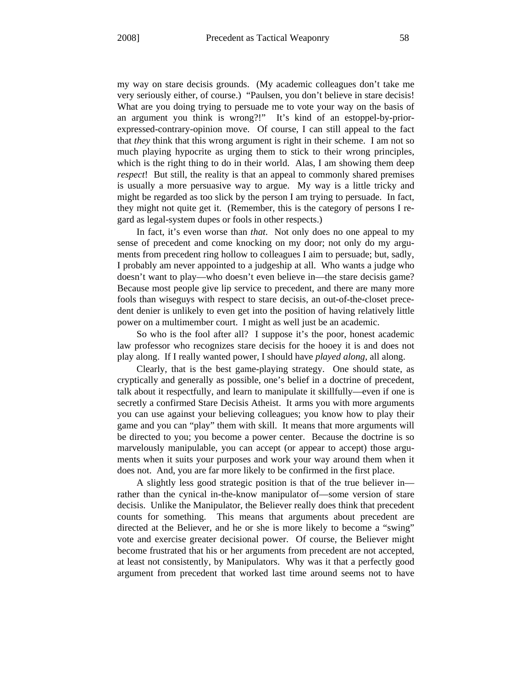my way on stare decisis grounds. (My academic colleagues don't take me very seriously either, of course.) "Paulsen, you don't believe in stare decisis! What are you doing trying to persuade me to vote your way on the basis of an argument you think is wrong?!" It's kind of an estoppel-by-priorexpressed-contrary-opinion move. Of course, I can still appeal to the fact that *they* think that this wrong argument is right in their scheme. I am not so much playing hypocrite as urging them to stick to their wrong principles, which is the right thing to do in their world. Alas, I am showing them deep *respect*! But still, the reality is that an appeal to commonly shared premises is usually a more persuasive way to argue. My way is a little tricky and might be regarded as too slick by the person I am trying to persuade. In fact, they might not quite get it. (Remember, this is the category of persons I regard as legal-system dupes or fools in other respects.)

In fact, it's even worse than *that*. Not only does no one appeal to my sense of precedent and come knocking on my door; not only do my arguments from precedent ring hollow to colleagues I aim to persuade; but, sadly, I probably am never appointed to a judgeship at all. Who wants a judge who doesn't want to play—who doesn't even believe in—the stare decisis game? Because most people give lip service to precedent, and there are many more fools than wiseguys with respect to stare decisis, an out-of-the-closet precedent denier is unlikely to even get into the position of having relatively little power on a multimember court. I might as well just be an academic.

So who is the fool after all? I suppose it's the poor, honest academic law professor who recognizes stare decisis for the hooey it is and does not play along. If I really wanted power, I should have *played along*, all along.

Clearly, that is the best game-playing strategy. One should state, as cryptically and generally as possible, one's belief in a doctrine of precedent, talk about it respectfully, and learn to manipulate it skillfully—even if one is secretly a confirmed Stare Decisis Atheist. It arms you with more arguments you can use against your believing colleagues; you know how to play their game and you can "play" them with skill. It means that more arguments will be directed to you; you become a power center. Because the doctrine is so marvelously manipulable, you can accept (or appear to accept) those arguments when it suits your purposes and work your way around them when it does not. And, you are far more likely to be confirmed in the first place.

A slightly less good strategic position is that of the true believer in rather than the cynical in-the-know manipulator of—some version of stare decisis. Unlike the Manipulator, the Believer really does think that precedent counts for something. This means that arguments about precedent are directed at the Believer, and he or she is more likely to become a "swing" vote and exercise greater decisional power. Of course, the Believer might become frustrated that his or her arguments from precedent are not accepted, at least not consistently, by Manipulators. Why was it that a perfectly good argument from precedent that worked last time around seems not to have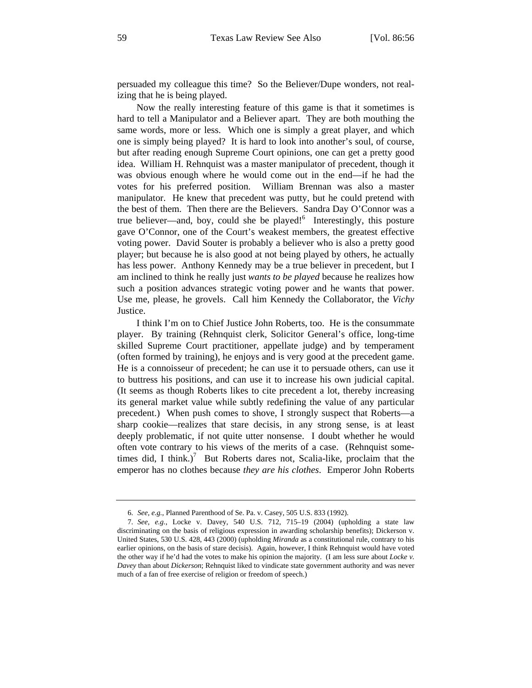persuaded my colleague this time? So the Believer/Dupe wonders, not realizing that he is being played.

Now the really interesting feature of this game is that it sometimes is hard to tell a Manipulator and a Believer apart. They are both mouthing the same words, more or less. Which one is simply a great player, and which one is simply being played? It is hard to look into another's soul, of course, but after reading enough Supreme Court opinions, one can get a pretty good idea. William H. Rehnquist was a master manipulator of precedent, though it was obvious enough where he would come out in the end—if he had the votes for his preferred position. William Brennan was also a master manipulator. He knew that precedent was putty, but he could pretend with the best of them. Then there are the Believers. Sandra Day O'Connor was a true believer—and, boy, could she be played!<sup>6</sup> Interestingly, this posture gave O'Connor, one of the Court's weakest members, the greatest effective voting power. David Souter is probably a believer who is also a pretty good player; but because he is also good at not being played by others, he actually has less power. Anthony Kennedy may be a true believer in precedent, but I am inclined to think he really just *wants to be played* because he realizes how such a position advances strategic voting power and he wants that power. Use me, please, he grovels. Call him Kennedy the Collaborator, the *Vichy* Justice.

I think I'm on to Chief Justice John Roberts, too. He is the consummate player. By training (Rehnquist clerk, Solicitor General's office, long-time skilled Supreme Court practitioner, appellate judge) and by temperament (often formed by training), he enjoys and is very good at the precedent game. He is a connoisseur of precedent; he can use it to persuade others, can use it to buttress his positions, and can use it to increase his own judicial capital. (It seems as though Roberts likes to cite precedent a lot, thereby increasing its general market value while subtly redefining the value of any particular precedent.) When push comes to shove, I strongly suspect that Roberts—a sharp cookie—realizes that stare decisis, in any strong sense, is at least deeply problematic, if not quite utter nonsense. I doubt whether he would often vote contrary to his views of the merits of a case. (Rehnquist sometimes did, I think.)<sup>7</sup> But Roberts dares not, Scalia-like, proclaim that the emperor has no clothes because *they are his clothes*. Emperor John Roberts

<sup>6.</sup> *See, e.g.*, Planned Parenthood of Se. Pa. v. Casey, 505 U.S. 833 (1992).

<sup>7.</sup> *See, e.g.*, Locke v. Davey, 540 U.S. 712, 715–19 (2004) (upholding a state law discriminating on the basis of religious expression in awarding scholarship benefits); Dickerson v. United States, 530 U.S. 428, 443 (2000) (upholding *Miranda* as a constitutional rule, contrary to his earlier opinions, on the basis of stare decisis). Again, however, I think Rehnquist would have voted the other way if he'd had the votes to make his opinion the majority. (I am less sure about *Locke v. Davey* than about *Dickerson*; Rehnquist liked to vindicate state government authority and was never much of a fan of free exercise of religion or freedom of speech.)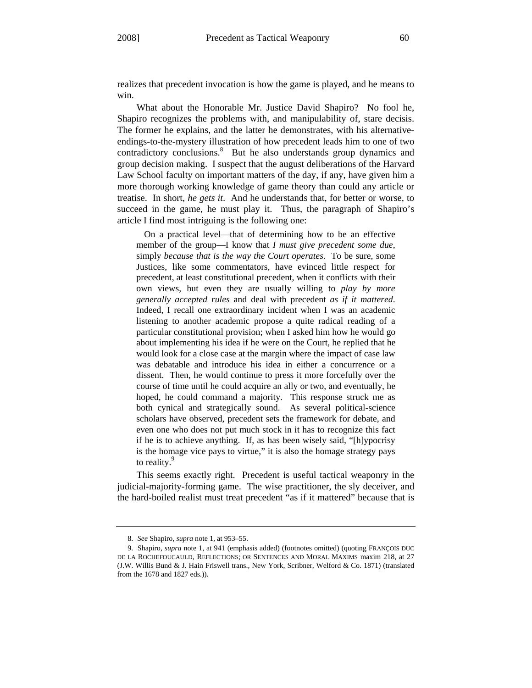realizes that precedent invocation is how the game is played, and he means to win.

What about the Honorable Mr. Justice David Shapiro? No fool he, Shapiro recognizes the problems with, and manipulability of, stare decisis. The former he explains, and the latter he demonstrates, with his alternativeendings-to-the-mystery illustration of how precedent leads him to one of two contradictory conclusions.<sup>8</sup> But he also understands group dynamics and group decision making. I suspect that the august deliberations of the Harvard Law School faculty on important matters of the day, if any, have given him a more thorough working knowledge of game theory than could any article or treatise. In short, *he gets it*. And he understands that, for better or worse, to succeed in the game, he must play it. Thus, the paragraph of Shapiro's article I find most intriguing is the following one:

 On a practical level—that of determining how to be an effective member of the group—I know that *I must give precedent some due*, simply *because that is the way the Court operates*. To be sure, some Justices, like some commentators, have evinced little respect for precedent, at least constitutional precedent, when it conflicts with their own views, but even they are usually willing to *play by more generally accepted rules* and deal with precedent *as if it mattered*. Indeed, I recall one extraordinary incident when I was an academic listening to another academic propose a quite radical reading of a particular constitutional provision; when I asked him how he would go about implementing his idea if he were on the Court, he replied that he would look for a close case at the margin where the impact of case law was debatable and introduce his idea in either a concurrence or a dissent. Then, he would continue to press it more forcefully over the course of time until he could acquire an ally or two, and eventually, he hoped, he could command a majority. This response struck me as both cynical and strategically sound. As several political-science scholars have observed, precedent sets the framework for debate, and even one who does not put much stock in it has to recognize this fact if he is to achieve anything. If, as has been wisely said, "[h]ypocrisy is the homage vice pays to virtue," it is also the homage strategy pays to reality.<sup>9</sup>

This seems exactly right. Precedent is useful tactical weaponry in the judicial-majority-forming game. The wise practitioner, the sly deceiver, and the hard-boiled realist must treat precedent "as if it mattered" because that is

<sup>8.</sup> *See* Shapiro, *supra* note 1, at 953–55.

<sup>9.</sup> Shapiro, *supra* note 1, at 941 (emphasis added) (footnotes omitted) (quoting FRANÇOIS DUC DE LA ROCHEFOUCAULD, REFLECTIONS; OR SENTENCES AND MORAL MAXIMS maxim 218, at 27 (J.W. Willis Bund & J. Hain Friswell trans., New York, Scribner, Welford & Co. 1871) (translated from the 1678 and 1827 eds.)).